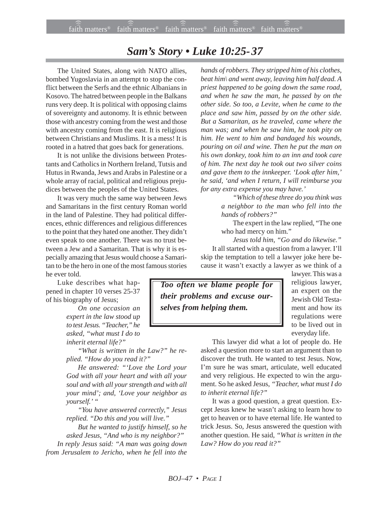## *Sam's Story • Luke 10:25-37*

The United States, along with NATO allies, bombed Yugoslavia in an attempt to stop the conflict between the Serfs and the ethnic Albanians in Kosovo. The hatred between people in the Balkans runs very deep. It is political with opposing claims of sovereignty and autonomy. It is ethnic between those with ancestry coming from the west and those with ancestry coming from the east. It is religious between Christians and Muslims. It is a mess! It is rooted in a hatred that goes back for generations.

It is not unlike the divisions between Protestants and Catholics in Northern Ireland, Tutsis and Hutus in Rwanda, Jews and Arabs in Palestine or a whole array of racial, political and religious prejudices between the peoples of the United States.

It was very much the same way between Jews and Samaritans in the first century Roman world in the land of Palestine. They had political differences, ethnic differences and religious differences to the point that they hated one another. They didn't even speak to one another. There was no trust between a Jew and a Samaritan. That is why it is especially amazing that Jesus would choose a Samaritan to be the hero in one of the most famous stories he ever told.

Luke describes what happened in chapter 10 verses 25-37 of his biography of Jesus;

> *On one occasion an expert in the law stood up to test Jesus. "Teacher," he asked, "what must I do to inherit eternal life?"*

*"What is written in the Law?" he replied. "How do you read it?"*

*He answered: "'Love the Lord your God with all your heart and with all your soul and with all your strength and with all your mind'; and, 'Love your neighbor as yourself.' "*

*"You have answered correctly," Jesus replied. "Do this and you will live."*

*But he wanted to justify himself, so he asked Jesus, "And who is my neighbor?"*

*In reply Jesus said: "A man was going down from Jerusalem to Jericho, when he fell into the*

*hands of robbers. They stripped him of his clothes, beat him\ and went away, leaving him half dead. A priest happened to be going down the same road, and when he saw the man, he passed by on the other side. So too, a Levite, when he came to the place and saw him, passed by on the other side. But a Samaritan, as he traveled, came where the man was; and when he saw him, he took pity on him. He went to him and bandaged his wounds, pouring on oil and wine. Then he put the man on his own donkey, took him to an inn and took care of him. The next day he took out two silver coins and gave them to the innkeeper. 'Look after him,' he said, 'and when I return, I will reimburse you for any extra expense you may have.'*

> *"Which of these three do you think was a neighbor to the man who fell into the hands of robbers?"*

The expert in the law replied, "The one who had mercy on him*.*"

*Jesus told him, "Go and do likewise."* It all started with a question from a lawyer. I'll skip the temptation to tell a lawyer joke here because it wasn't exactly a lawyer as we think of a

*Too often we blame people for their problems and excuse ourselves from helping them.*

lawyer. This was a religious lawyer, an expert on the Jewish Old Testament and how its regulations were to be lived out in everyday life.

This lawyer did what a lot of people do. He asked a question more to start an argument than to discover the truth. He wanted to test Jesus. Now, I'm sure he was smart, articulate, well educated and very religious. He expected to win the argument. So he asked Jesus, *"Teacher, what must I do to inherit eternal life?"*

It was a good question, a great question. Except Jesus knew he wasn't asking to learn how to get to heaven or to have eternal life. He wanted to trick Jesus. So, Jesus answered the question with another question. He said, *"What is written in the Law? How do you read it?"*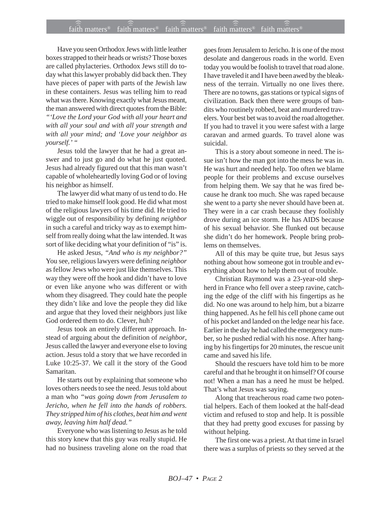## $f$ ait $\widehat{\widehat{\widehat{\mathfrak{n}}}}$  matters®  $\widehat{\widehat{\mathfrak{n}}}$  matters®  $\widehat{\widehat{\mathfrak{n}}}$  atth matters®  $\widehat{\widehat{\mathfrak{n}}}$  atters®  $\widehat{\widehat{\mathfrak{n}}}$

Have you seen Orthodox Jews with little leather boxes strapped to their heads or wrists? Those boxes are called phylacteries. Orthodox Jews still do today what this lawyer probably did back then. They have pieces of paper with parts of the Jewish law in these containers. Jesus was telling him to read what was there. Knowing exactly what Jesus meant, the man answered with direct quotes from the Bible: *"'Love the Lord your God with all your heart and with all your soul and with all your strength and with all your mind; and 'Love your neighbor as yourself.' "*

Jesus told the lawyer that he had a great answer and to just go and do what he just quoted. Jesus had already figured out that this man wasn't capable of wholeheartedly loving God or of loving his neighbor as himself.

The lawyer did what many of us tend to do. He tried to make himself look good. He did what most of the religious lawyers of his time did. He tried to wiggle out of responsibility by defining *neighbor* in such a careful and tricky way as to exempt himself from really doing what the law intended. It was sort of like deciding what your definition of "is" is.

He asked Jesus, *"And who is my neighbor?"* You see, religious lawyers were defining *neighbor* as fellow Jews who were just like themselves. This way they were off the hook and didn't have to love or even like anyone who was different or with whom they disagreed. They could hate the people they didn't like and love the people they did like and argue that they loved their neighbors just like God ordered them to do. Clever, huh?

Jesus took an entirely different approach. Instead of arguing about the definition of *neighbor*, Jesus called the lawyer and everyone else to loving action. Jesus told a story that we have recorded in Luke 10:25-37. We call it the story of the Good Samaritan.

He starts out by explaining that someone who loves others needs to see the need. Jesus told about a man who *"was going down from Jerusalem to Jericho, when he fell into the hands of robbers. They stripped him of his clothes, beat him and went away, leaving him half dead."*

Everyone who was listening to Jesus as he told this story knew that this guy was really stupid. He had no business traveling alone on the road that

goes from Jerusalem to Jericho. It is one of the most desolate and dangerous roads in the world. Even today you would be foolish to travel that road alone. I have traveled it and I have been awed by the bleakness of the terrain. Virtually no one lives there. There are no towns, gas stations or typical signs of civilization. Back then there were groups of bandits who routinely robbed, beat and murdered travelers. Your best bet was to avoid the road altogether. If you had to travel it you were safest with a large caravan and armed guards. To travel alone was suicidal.

This is a story about someone in need. The issue isn't how the man got into the mess he was in. He was hurt and needed help. Too often we blame people for their problems and excuse ourselves from helping them. We say that he was fired because he drank too much. She was raped because she went to a party she never should have been at. They were in a car crash because they foolishly drove during an ice storm. He has AIDS because of his sexual behavior. She flunked out because she didn't do her homework. People bring problems on themselves.

All of this may be quite true, but Jesus says nothing about how someone got in trouble and everything about how to help them out of trouble.

Christian Raymond was a 23-year-old shepherd in France who fell over a steep ravine, catching the edge of the cliff with his fingertips as he did. No one was around to help him, but a bizarre thing happened. As he fell his cell phone came out of his pocket and landed on the ledge near his face. Earlier in the day he had called the emergency number, so he pushed redial with his nose. After hanging by his fingertips for 20 minutes, the rescue unit came and saved his life.

Should the rescuers have told him to be more careful and that he brought it on himself? Of course not! When a man has a need he must be helped. That's what Jesus was saying.

Along that treacherous road came two potential helpers. Each of them looked at the half-dead victim and refused to stop and help. It is possible that they had pretty good excuses for passing by without helping.

The first one was a priest. At that time in Israel there was a surplus of priests so they served at the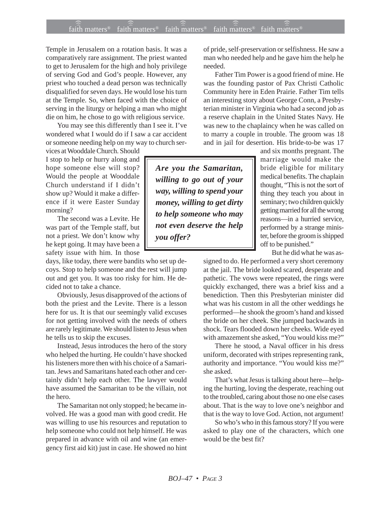## $f$ ait $\widehat{\widehat{\widehat{\mathfrak{n}}}}$  matters®  $\widehat{\widehat{\mathfrak{n}}}$  matters®  $\widehat{\widehat{\mathfrak{n}}}$  atth matters®  $\widehat{\widehat{\mathfrak{n}}}$  atters®  $\widehat{\widehat{\mathfrak{n}}}$

Temple in Jerusalem on a rotation basis. It was a comparatively rare assignment. The priest wanted to get to Jerusalem for the high and holy privilege of serving God and God's people. However, any priest who touched a dead person was technically disqualified for seven days. He would lose his turn at the Temple. So, when faced with the choice of serving in the liturgy or helping a man who might die on him, he chose to go with religious service.

You may see this differently than I see it. I've wondered what I would do if I saw a car accident or someone needing help on my way to church ser-

vices at Wooddale Church. Should I stop to help or hurry along and hope someone else will stop? Would the people at Wooddale Church understand if I didn't show up? Would it make a difference if it were Easter Sunday morning?

The second was a Levite. He was part of the Temple staff, but not a priest. We don't know why he kept going. It may have been a safety issue with him. In those

days, like today, there were bandits who set up decoys. Stop to help someone and the rest will jump out and get you. It was too risky for him. He decided not to take a chance.

Obviously, Jesus disapproved of the actions of both the priest and the Levite. There is a lesson here for us. It is that our seemingly valid excuses for not getting involved with the needs of others are rarely legitimate. We should listen to Jesus when he tells us to skip the excuses.

Instead, Jesus introduces the hero of the story who helped the hurting. He couldn't have shocked his listeners more then with his choice of a Samaritan. Jews and Samaritans hated each other and certainly didn't help each other. The lawyer would have assumed the Samaritan to be the villain, not the hero.

The Samaritan not only stopped; he became involved. He was a good man with good credit. He was willing to use his resources and reputation to help someone who could not help himself. He was prepared in advance with oil and wine (an emergency first aid kit) just in case. He showed no hint of pride, self-preservation or selfishness. He saw a man who needed help and he gave him the help he needed.

Father Tim Power is a good friend of mine. He was the founding pastor of Pax Christi Catholic Community here in Eden Prairie. Father Tim tells an interesting story about George Conn, a Presbyterian minister in Virginia who had a second job as a reserve chaplain in the United States Navy. He was new to the chaplaincy when he was called on to marry a couple in trouble. The groom was 18 and in jail for desertion. His bride-to-be was 17

> and six months pregnant. The marriage would make the bride eligible for military medical benefits. The chaplain thought, "This is not the sort of thing they teach you about in seminary; two children quickly getting married for all the wrong reasons—in a hurried service, performed by a strange minister, before the groom is shipped off to be punished."

But he did what he was as-

signed to do. He performed a very short ceremony at the jail. The bride looked scared, desperate and pathetic. The vows were repeated, the rings were quickly exchanged, there was a brief kiss and a benediction. Then this Presbyterian minister did what was his custom in all the other weddings he performed—he shook the groom's hand and kissed the bride on her cheek. She jumped backwards in shock. Tears flooded down her cheeks. Wide eyed with amazement she asked, "You would kiss me?"

There he stood, a Naval officer in his dress uniform, decorated with stripes representing rank, authority and importance. "You would kiss me?" she asked.

That's what Jesus is talking about here—helping the hurting, loving the desperate, reaching out to the troubled, caring about those no one else cases about. That is the way to love one's neighbor and that is the way to love God. Action, not argument!

So who's who in this famous story? If you were asked to play one of the characters, which one would be the best fit?

*Are you the Samaritan, willing to go out of your way, willing to spend your money, willing to get dirty to help someone who may not even deserve the help you offer?*